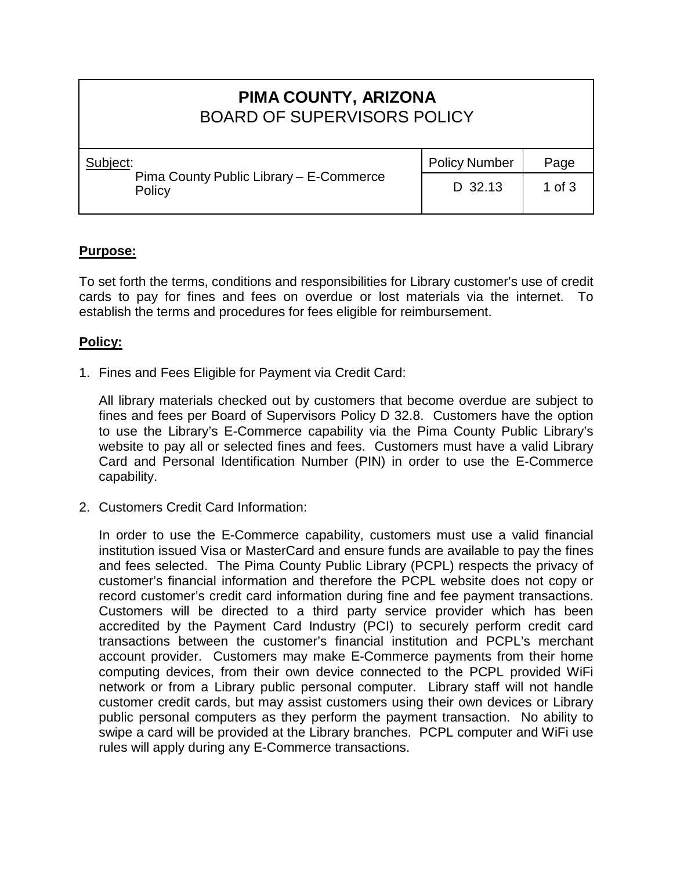# **PIMA COUNTY, ARIZONA** BOARD OF SUPERVISORS POLICY

| Subject:                                          | <b>Policy Number</b> | Page     |
|---------------------------------------------------|----------------------|----------|
| Pima County Public Library - E-Commerce<br>Policy | D 32.13              | 1 of $3$ |

### **Purpose:**

To set forth the terms, conditions and responsibilities for Library customer's use of credit cards to pay for fines and fees on overdue or lost materials via the internet. To establish the terms and procedures for fees eligible for reimbursement.

#### **Policy:**

1. Fines and Fees Eligible for Payment via Credit Card:

All library materials checked out by customers that become overdue are subject to fines and fees per Board of Supervisors Policy D 32.8. Customers have the option to use the Library's E-Commerce capability via the Pima County Public Library's website to pay all or selected fines and fees. Customers must have a valid Library Card and Personal Identification Number (PIN) in order to use the E-Commerce capability.

2. Customers Credit Card Information:

In order to use the E-Commerce capability, customers must use a valid financial institution issued Visa or MasterCard and ensure funds are available to pay the fines and fees selected. The Pima County Public Library (PCPL) respects the privacy of customer's financial information and therefore the PCPL website does not copy or record customer's credit card information during fine and fee payment transactions. Customers will be directed to a third party service provider which has been accredited by the Payment Card Industry (PCI) to securely perform credit card transactions between the customer's financial institution and PCPL's merchant account provider. Customers may make E-Commerce payments from their home computing devices, from their own device connected to the PCPL provided WiFi network or from a Library public personal computer. Library staff will not handle customer credit cards, but may assist customers using their own devices or Library public personal computers as they perform the payment transaction. No ability to swipe a card will be provided at the Library branches. PCPL computer and WiFi use rules will apply during any E-Commerce transactions.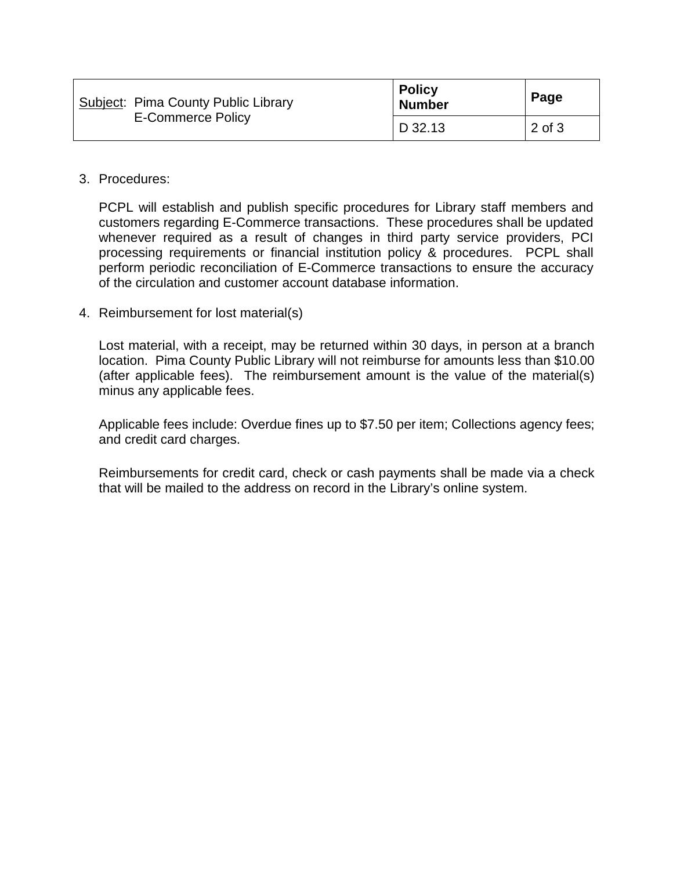|  | <b>Subject: Pima County Public Library</b><br><b>E-Commerce Policy</b> | <b>Policy</b><br><b>Number</b> | Page   |
|--|------------------------------------------------------------------------|--------------------------------|--------|
|  |                                                                        | D 32.13                        | 2 of 3 |

#### 3. Procedures:

PCPL will establish and publish specific procedures for Library staff members and customers regarding E-Commerce transactions. These procedures shall be updated whenever required as a result of changes in third party service providers, PCI processing requirements or financial institution policy & procedures. PCPL shall perform periodic reconciliation of E-Commerce transactions to ensure the accuracy of the circulation and customer account database information.

4. Reimbursement for lost material(s)

Lost material, with a receipt, may be returned within 30 days, in person at a branch location. Pima County Public Library will not reimburse for amounts less than \$10.00 (after applicable fees). The reimbursement amount is the value of the material(s) minus any applicable fees.

Applicable fees include: Overdue fines up to \$7.50 per item; Collections agency fees; and credit card charges.

Reimbursements for credit card, check or cash payments shall be made via a check that will be mailed to the address on record in the Library's online system.